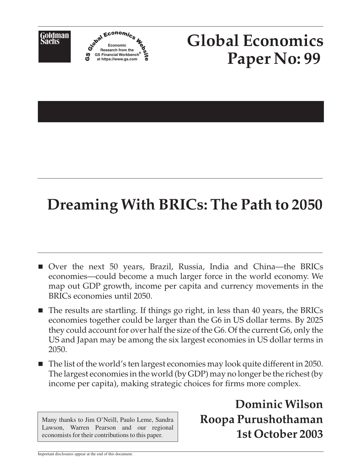



# **Global Economics Paper No: 99**

# **Dreaming With BRICs: The Path to 2050**

- Over the next 50 years, Brazil, Russia, India and China—the BRICs economies—could become a much larger force in the world economy. We map out GDP growth, income per capita and currency movements in the BRICs economies until 2050.
- The results are startling. If things go right, in less than 40 years, the BRICs economies together could be larger than the G6 in US dollar terms. By 2025 they could account for over half the size of the G6. Of the current G6, only the US and Japan may be among the six largest economies in US dollar terms in 2050.
- $\blacksquare$  The list of the world's ten largest economies may look quite different in 2050. The largest economies in the world (by GDP) may no longer be the richest (by income per capita), making strategic choices for firms more complex.

Many thanks to Jim O'Neill, Paulo Leme, Sandra Lawson, Warren Pearson and our regional economists for their contributions to this paper.

**Dominic Wilson Roopa Purushothaman 1st October 2003**

Important disclosures appear at the end of this document.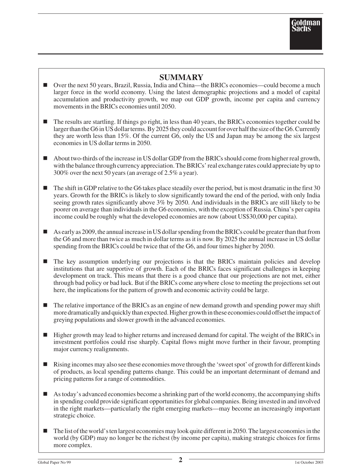# **SUMMARY**

- Over the next 50 years, Brazil, Russia, India and China—the BRICs economies—could become a much larger force in the world economy. Using the latest demographic projections and a model of capital accumulation and productivity growth, we map out GDP growth, income per capita and currency movements in the BRICs economies until 2050.
- The results are startling. If things go right, in less than 40 years, the BRICs economies together could be larger than the G6 in US dollar terms. By 2025 they could account for over half the size of the G6. Currently they are worth less than 15%. Of the current G6, only the US and Japan may be among the six largest economies in US dollar terms in 2050.
- About two-thirds of the increase in US dollar GDP from the BRICs should come from higher real growth, with the balance through currency appreciation. The BRICs' real exchange rates could appreciate by up to 300% over the next 50 years (an average of 2.5% a year).
- The shift in GDP relative to the G6 takes place steadily over the period, but is most dramatic in the first 30 years. Growth for the BRICs is likely to slow significantly toward the end of the period, with only India seeing growth rates significantly above 3% by 2050. And individuals in the BRICs are still likely to be poorer on average than individuals in the G6 economies, with the exception of Russia. China's per capita income could be roughly what the developed economies are now (about US\$30,000 per capita).
- As early as 2009, the annual increase in US dollar spending from the BRICs could be greater than that from the G6 and more than twice as much in dollar terms as it is now. By 2025 the annual increase in US dollar spending from the BRICs could be twice that of the G6, and four times higher by 2050.
- $\blacksquare$  The key assumption underlying our projections is that the BRICs maintain policies and develop institutions that are supportive of growth. Each of the BRICs faces significant challenges in keeping development on track. This means that there is a good chance that our projections are not met, either through bad policy or bad luck. But if the BRICs come anywhere close to meeting the projections set out here, the implications for the pattern of growth and economic activity could be large.
- The relative importance of the BRICs as an engine of new demand growth and spending power may shift more dramatically and quickly than expected. Higher growth in these economies could offset the impact of greying populations and slower growth in the advanced economies.
- Higher growth may lead to higher returns and increased demand for capital. The weight of the BRICs in investment portfolios could rise sharply. Capital flows might move further in their favour, prompting major currency realignments.
- **E** Rising incomes may also see these economies move through the 'sweet spot' of growth for different kinds of products, as local spending patterns change. This could be an important determinant of demand and pricing patterns for a range of commodities.
- As today's advanced economies become a shrinking part of the world economy, the accompanying shifts in spending could provide significant opportunities for global companies. Being invested in and involved in the right markets—particularly the right emerging markets—may become an increasingly important strategic choice.
- $\blacksquare$  The list of the world's ten largest economies may look quite different in 2050. The largest economies in the world (by GDP) may no longer be the richest (by income per capita), making strategic choices for firms more complex.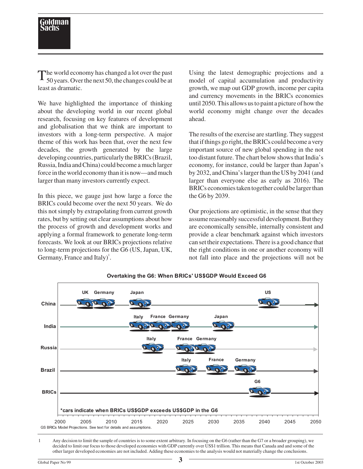The world economy has changed a lot over the past<br>50 years. Over the next 50, the changes could be at least as dramatic.

We have highlighted the importance of thinking about the developing world in our recent global research, focusing on key features of development and globalisation that we think are important to investors with a long-term perspective. A major theme of this work has been that, over the next few decades, the growth generated by the large developing countries, particularly the BRICs (Brazil, Russia, India and China) could become a much larger force in the world economy than it is now—and much larger than many investors currently expect.

In this piece, we gauge just how large a force the BRICs could become over the next 50 years. We do this not simply by extrapolating from current growth rates, but by setting out clear assumptions about how the process of growth and development works and applying a formal framework to generate long-term forecasts. We look at our BRICs projections relative to long-term projections for the G6 (US, Japan, UK, Germany, France and Italy)<sup>1</sup>.

Using the latest demographic projections and a model of capital accumulation and productivity growth, we map out GDP growth, income per capita and currency movements in the BRICs economies until 2050. This allows us to paint a picture of how the world economy might change over the decades ahead.

The results of the exercise are startling. They suggest that if things go right, the BRICs could become a very important source of new global spending in the not too distant future. The chart below shows that India's economy, for instance, could be larger than Japan's by 2032, and China's larger than the US by 2041 (and larger than everyone else as early as 2016). The BRICs economies taken together could be larger than the G6 by 2039.

Our projections are optimistic, in the sense that they assume reasonably successful development. But they are economically sensible, internally consistent and provide a clear benchmark against which investors can set their expectations. There is a good chance that the right conditions in one or another economy will not fall into place and the projections will not be



### **Overtaking the G6: When BRICs' US\$GDP Would Exceed G6**

1 Any decision to limit the sample of countries is to some extent arbitrary. In focusing on the G6 (rather than the G7 or a broader grouping), we decided to limit our focus to those developed economies with GDP currently over US\$1 trillion. This means that Canada and and some of the other larger developed economies are not included. Adding these economies to the analysis would not materially change the conclusions.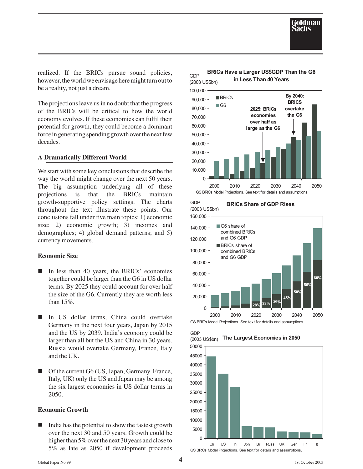

realized. If the BRICs pursue sound policies, however, the world we envisage here might turn out to be a reality, not just a dream.

The projections leave us in no doubt that the progress of the BRICs will be critical to how the world economy evolves. If these economies can fulfil their potential for growth, they could become a dominant force in generating spending growth over the next few decades.

### **A Dramatically Different World**

We start with some key conclusions that describe the way the world might change over the next 50 years. The big assumption underlying all of these projections is that the BRICs maintain growth-supportive policy settings. The charts throughout the text illustrate these points. Our conclusions fall under five main topics: 1) economic size; 2) economic growth; 3) incomes and demographics; 4) global demand patterns; and 5) currency movements.

### **Economic Size**

- In less than 40 years, the BRICs' economies together could be larger than the G6 in US dollar terms. By 2025 they could account for over half the size of the G6. Currently they are worth less than 15%.
- In US dollar terms, China could overtake Germany in the next four years, Japan by 2015 and the US by 2039. India's economy could be larger than all but the US and China in 30 years. Russia would overtake Germany, France, Italy and the UK.
- Of the current G6 (US, Japan, Germany, France, Italy, UK) only the US and Japan may be among the six largest economies in US dollar terms in 2050.

### **Economic Growth**

 India has the potential to show the fastest growth over the next 30 and 50 years. Growth could be higher than 5% over the next 30 years and close to 5% as late as 2050 if development proceeds



**BRICs Share of GDP Rises** (2003 US\$bn)



GS BRICs Model Projections. See text for details and assumptions.



 $\Omega$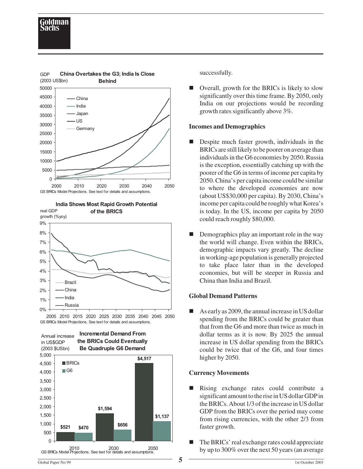

#### **India Shows Most Rapid Growth Potential of the BRICS** 0% 1% 2% 3% 4% 5% 6% 7% 8% 9% Brazil China India Russia real GDP growth (%yoy)

2005 2010 2015 2020 2025 2030 2035 2040 2045 2050 GS BRICs Model Projections. See text for details and assumptions.



**China Overtakes the G3; India Is Close** GDP

successfully.

 $\blacksquare$  Overall, growth for the BRICs is likely to slow significantly over this time frame. By 2050, only India on our projections would be recording growth rates significantly above 3%.

### **Incomes and Demographics**

- Despite much faster growth, individuals in the BRICs are still likely to be poorer on average than individuals in the G6 economies by 2050. Russia is the exception, essentially catching up with the poorer of the G6 in terms of income per capita by 2050. China's per capita income could be similar to where the developed economies are now (about US\$30,000 per capita). By 2030, China's income per capita could be roughly what Korea's is today. In the US, income per capita by 2050 could reach roughly \$80,000.
- Demographics play an important role in the way the world will change. Even within the BRICs, demographic impacts vary greatly. The decline in working-age population is generally projected to take place later than in the developed economies, but will be steeper in Russia and China than India and Brazil.

### **Global Demand Patterns**

■ As early as 2009, the annual increase in US dollar spending from the BRICs could be greater than that from the G6 and more than twice as much in dollar terms as it is now. By 2025 the annual increase in US dollar spending from the BRICs could be twice that of the G6, and four times higher by 2050.

### **Currency Movements**

- Rising exchange rates could contribute a significant amount to the rise in US dollar GDP in the BRICs. About 1/3 of the increase in US dollar GDP from the BRICs over the period may come from rising currencies, with the other 2/3 from faster growth.
- The BRICs' real exchange rates could appreciate by up to 300% over the next 50 years (an average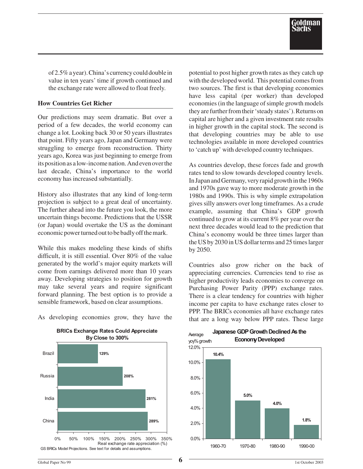of 2.5% a year). China's currency could double in value in ten years' time if growth continued and the exchange rate were allowed to float freely.

### **How Countries Get Richer**

Our predictions may seem dramatic. But over a period of a few decades, the world economy can change a lot. Looking back 30 or 50 years illustrates that point. Fifty years ago, Japan and Germany were struggling to emerge from reconstruction. Thirty years ago, Korea was just beginning to emerge from its position as a low-income nation. And even over the last decade, China's importance to the world economy has increased substantially.

History also illustrates that any kind of long-term projection is subject to a great deal of uncertainty. The further ahead into the future you look, the more uncertain things become. Predictions that the USSR (or Japan) would overtake the US as the dominant economic power turned out to be badly off the mark.

While this makes modeling these kinds of shifts difficult, it is still essential. Over 80% of the value generated by the world's major equity markets will come from earnings delivered more than 10 years away. Developing strategies to position for growth may take several years and require significant forward planning. The best option is to provide a sensible framework, based on clear assumptions.

As developing economies grow, they have the



### potential to post higher growth rates as they catch up with the developed world. This potential comes from two sources. The first is that developing economies have less capital (per worker) than developed economies (in the language of simple growth models they are further from their 'steady states'). Returns on capital are higher and a given investment rate results in higher growth in the capital stock. The second is that developing countries may be able to use technologies available in more developed countries to 'catch up' with developed country techniques.

As countries develop, these forces fade and growth rates tend to slow towards developed country levels. In Japan and Germany, very rapid growth in the 1960s and 1970s gave way to more moderate growth in the 1980s and 1990s. This is why simple extrapolation gives silly answers over long timeframes. As a crude example, assuming that China's GDP growth continued to grow at its current 8% per year over the next three decades would lead to the prediction that China's economy would be three times larger than the US by 2030 in US dollar terms and 25 times larger by 2050.

Countries also grow richer on the back of appreciating currencies. Currencies tend to rise as higher productivity leads economies to converge on Purchasing Power Parity (PPP) exchange rates. There is a clear tendency for countries with higher income per capita to have exchange rates closer to PPP. The BRICs economies all have exchange rates that are a long way below PPP rates. These large



# **BRICs Exchange Rates Could Appreciate**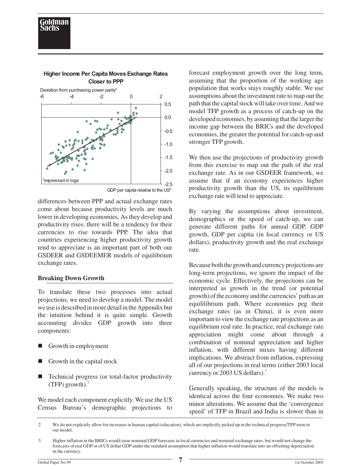### **Higher Income Per Capita Moves Exchange Rates Closer to PPP**



GDP per capita relative to the US\*

differences between PPP and actual exchange rates come about because productivity levels are much lower in developing economies. As they develop and productivity rises, there will be a tendency for their currencies to rise towards PPP. The idea that countries experiencing higher productivity growth tend to appreciate is an important part of both our GSDEER and GSDEEMER models of equilibrium exchange rates.

### **Breaking Down Growth**

To translate these two processes into actual projections, we need to develop a model. The model we use is described in more detail in the Appendix but the intuition behind it is quite simple. Growth accounting divides GDP growth into three components:

- Growth in employment
- Growth in the capital stock
- Technical progress (or total-factor productivity (TFP) growth). $^{2}$

We model each component explicitly. We use the US Census Bureau's demographic projections to forecast employment growth over the long term, assuming that the proportion of the working age population that works stays roughly stable. We use assumptions about the investment rate to map out the path that the capital stock will take over time. And we model TFP growth as a process of catch-up on the developed economies, by assuming that the larger the income gap between the BRICs and the developed economies, the greater the potential for catch-up and stronger TFP growth.

We then use the projections of productivity growth from this exercise to map out the path of the real exchange rate. As in our GSDEER framework, we assume that if an economy experiences higher productivity growth than the US, its equilibrium exchange rate will tend to appreciate.

By varying the assumptions about investment, demographics or the speed of catch-up, we can generate different paths for annual GDP, GDP growth, GDP per capita (in local currency or US dollars), productivity growth and the real exchange rate.

Because both the growth and currency projections are long-term projections, we ignore the impact of the economic cycle. Effectively, the projections can be interpreted as growth in the trend (or potential growth) of the economy and the currencies' path as an equililibrium path. Where economies peg their exchange rates (as in China), it is even more important to view the exchange rate projections as an equilibrium real rate. In practice, real exchange rate appreciation might come about through a combination of nominal appreciation and higher inflation, with different mixes having different implications. We abstract from inflation, expressing all of our projections in real terms (either 2003 local currency or  $2003$  US dollars).<sup>3</sup>

Generally speaking, the structure of the models is identical across the four economies. We make two minor alterations. We assume that the 'convergence speed' of TFP in Brazil and India is slower than in

<sup>2</sup> We do not explicitly allow for increases in human capital (education), which are implicitly picked up in the technical progress/TFP term in our model.

<sup>3</sup> Higher inflation in the BRICs would raise nominal GDP forecasts in local currencies and nominal exchange rates, but would not change the forecasts of real GDP or of US dollar GDP under the standard assumption that higher inflation would translate into an offsetting depreciation in the currency.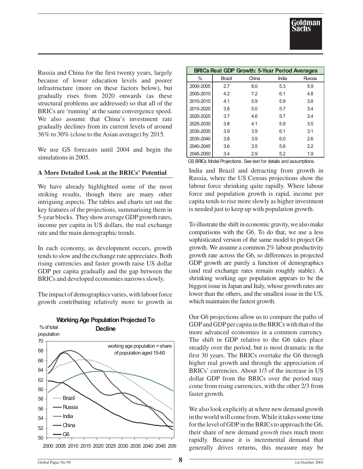Russia and China for the first twenty years, largely because of lower education levels and poorer infrastructure (more on these factors below), but gradually rises from 2020 onwards (as these structural problems are addressed) so that all of the BRICs are 'running' at the same convergence speed. We also assume that China's investment rate gradually declines from its current levels of around 36% to 30% (close to the Asian average) by 2015.

We use GS forecasts until 2004 and begin the simulations in 2005.

### **A More Detailed Look at the BRICs' Potential**

We have already highlighted some of the most striking results, though there are many other intriguing aspects. The tables and charts set out the key features of the projections, summarising them in 5-year blocks. They show average GDP growth rates, income per capita in US dollars, the real exchange rate and the main demographic trends.

In each economy, as development occurs, growth tends to slow and the exchange rate appreciates. Both rising currencies and faster growth raise US dollar GDP per capita gradually and the gap between the BRICs and developed economies narrows slowly.

The impact of demographics varies, with labour force growth contributing relatively more to growth in



2000 2005 2010 2015 2020 2025 2030 2035 2040 2045 2050

|           |        | <b>BRICs Real GDP Growth: 5-Year Period Averages</b> |       |        |
|-----------|--------|------------------------------------------------------|-------|--------|
| ℅         | Brazil | China                                                | India | Russia |
| 2000-2005 | 2.7    | 8.0                                                  | 5.3   | 5.9    |
| 2005-2010 | 4.2    | 7.2                                                  | 6.1   | 4.8    |
| 2010-2015 | 4.1    | 5.9                                                  | 5.9   | 3.8    |
| 2015-2020 | 3.8    | 5.0                                                  | 5.7   | 3.4    |
| 2020-2025 | 3.7    | 4.6                                                  | 5.7   | 3.4    |
| 2025-2030 | 3.8    | 4.1                                                  | 5.9   | 3.5    |
| 2030-2035 | 3.9    | 3.9                                                  | 6.1   | 3.1    |
| 2035-2040 | 3.8    | 3.9                                                  | 6.0   | 2.6    |
| 2040-2045 | 3.6    | 3.5                                                  | 5.6   | 2.2    |
| 2045-2050 | 3.4    | 2.9                                                  | 5.2   | 1.9    |

GS BRICs Model Projections. See text for details and assumptions.

India and Brazil and detracting from growth in Russia, where the US Census projections show the labour force shrinking quite rapidly. Where labour force and population growth is rapid, income per capita tends to rise more slowly as higher investment is needed just to keep up with population growth.

To illustrate the shift in economic gravity, we also make comparisons with the G6. To do that, we use a less sophisticated version of the same model to project G6 growth. We assume a common 2% labour productivity growth rate across the G6, so differences in projected GDP growth are purely a function of demographics (and real exchange rates remain roughly stable). A shrinking working age population appears to be the biggest issue in Japan and Italy, whose growth rates are lower than the others, and the smallest issue in the US, which maintains the fastest growth.

Our G6 projections allow us to compare the paths of GDP and GDP per capita in the BRICs with that of the more advanced economies in a common currency. The shift in GDP relative to the G6 takes place steadily over the period, but is most dramatic in the first 30 years. The BRICs overtake the G6 through higher real growth and through the appreciation of BRICs' currencies. About 1/3 of the increase in US dollar GDP from the BRICs over the period may come from rising currencies, with the other 2/3 from faster growth.

We also look explicitly at where new demand growth in the world will come from. While it takes some time for the level of GDP in the BRICs to approach the G6, their share of new demand *growth* rises much more rapidly. Because it is incremental demand that generally drives returns, this measure may be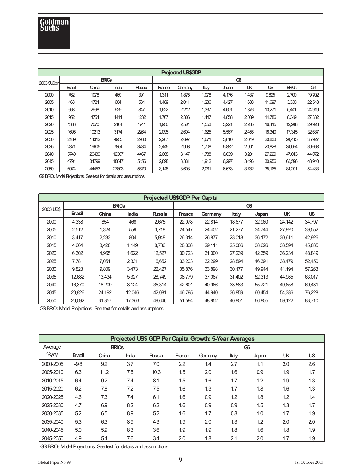|             |        |              |       |        |        | <b>Projected US\$GDP</b> |              |       |       |        |            |        |  |
|-------------|--------|--------------|-------|--------|--------|--------------------------|--------------|-------|-------|--------|------------|--------|--|
| 2003 \$USbn |        | <b>ERICS</b> |       |        |        | Œ                        |              |       |       |        |            |        |  |
|             | Brazil | China        | India | Russia | France | Germany                  | <b>Italy</b> | Japan | UK    | US     | <b>BRG</b> | Œ      |  |
| 2000        | 762    | 1078         | 469   | 391    | 1,311  | 1,875                    | 1,078        | 4,176 | 1,437 | 9,825  | 2,700      | 19,702 |  |
| 2005        | 468    | 1724         | 604   | 534    | 1,489  | 2011                     | 1,236        | 4,427 | 1,688 | 11,697 | 3,330      | 22,548 |  |
| 2010        | 668    | 2998         | 929   | 847    | 1,622  | 2,212                    | 1,337        | 4,601 | 1,876 | 13,271 | 5,441      | 24,919 |  |
| 2015        | 952    | 4754         | 1411  | 1232   | 1,767  | 2,386                    | 1,447        | 4,858 | 2,089 | 14,786 | 8,349      | 27,332 |  |
| 2020        | 1333   | 7070         | 2104  | 1741   | 1,930  | 2,524                    | 1,553        | 5,221 | 2,285 | 16,415 | 12,248     | 29,928 |  |
| 2025        | 1695   | 10213        | 3174  | 2264   | 2,095  | 2,604                    | 1,625        | 5,567 | 2,456 | 18,340 | 17,345     | 32,687 |  |
| 2030        | 2189   | 14312        | 4935  | 2980   | 2,267  | 2,697                    | 1,671        | 5,810 | 2649  | 20,833 | 24,415     | 35,927 |  |
| 2035        | 2871   | 19605        | 7854  | 3734   | 2,445  | 2,903                    | 1,708        | 5,882 | 2,901 | 23,828 | 34,064     | 39,668 |  |
| 2040        | 3740   | 26439        | 12367 | 4467   | 2,668  | 3,147                    | 1,788        | 6,039 | 3,201 | 27,229 | 47,013     | 44,072 |  |
| 2045        | 4794   | 34799        | 18847 | 5156   | 2,898  | 3,381                    | 1,912        | 6,297 | 3,496 | 30,956 | 63,596     | 48,940 |  |
| 2050        | 6074   | 44453        | 27803 | 5870   | 3,148  | 3,603                    | 2061         | 6,673 | 3,782 | 35,165 | 84,201     | 54,433 |  |

GSBRICs Model Projections. See text for details and assumptions.

|           | <b>Projected US\$GDP Per Capita</b> |        |              |               |                |         |        |        |           |           |  |
|-----------|-------------------------------------|--------|--------------|---------------|----------------|---------|--------|--------|-----------|-----------|--|
| 2003 US\$ |                                     |        | <b>BRICS</b> |               | G <sub>6</sub> |         |        |        |           |           |  |
|           | <b>Brazil</b>                       | China  | India        | <b>Russia</b> | <b>France</b>  | Germany | Italy  | Japan  | <b>UK</b> | <b>US</b> |  |
| 2000      | 4,338                               | 854    | 468          | 2,675         | 22,078         | 22,814  | 18,677 | 32,960 | 24,142    | 34,797    |  |
| 2005      | 2,512                               | 1,324  | 559          | 3,718         | 24,547         | 24,402  | 21,277 | 34.744 | 27,920    | 39,552    |  |
| 2010      | 3,417                               | 2,233  | 804          | 5,948         | 26,314         | 26,877  | 23.018 | 36,172 | 30.611    | 42,926    |  |
| 2015      | 4,664                               | 3,428  | 1,149        | 8,736         | 28,338         | 29,111  | 25,086 | 38,626 | 33,594    | 45,835    |  |
| 2020      | 6,302                               | 4,965  | 1,622        | 12,527        | 30,723         | 31,000  | 27,239 | 42,359 | 36,234    | 48,849    |  |
| 2025      | 7,781                               | 7,051  | 2,331        | 16,652        | 33,203         | 32,299  | 28,894 | 46,391 | 38,479    | 52,450    |  |
| 2030      | 9,823                               | 9,809  | 3,473        | 22,427        | 35,876         | 33,898  | 30,177 | 49,944 | 41,194    | 57,263    |  |
| 2035      | 12,682                              | 13,434 | 5,327        | 28,749        | 38,779         | 37,087  | 31,402 | 52,313 | 44.985    | 63,017    |  |
| 2040      | 16.370                              | 18,209 | 8,124        | 35,314        | 42,601         | 40.966  | 33,583 | 55,721 | 49,658    | 69,431    |  |
| 2045      | 20,926                              | 24,192 | 12.046       | 42.081        | 46,795         | 44.940  | 36.859 | 60.454 | 54.386    | 76,228    |  |
| 2050      | 26,592                              | 31,357 | 17,366       | 49,646        | 51,594         | 48,952  | 40.901 | 66.805 | 59,122    | 83,710    |  |

GS BRICs Model Projections. See text for details and assumptions.

|           |        |             |       |               |        | Projected US\$ GDP Per Capita Growth: 5-Year Averages |       |       |     |     |
|-----------|--------|-------------|-------|---------------|--------|-------------------------------------------------------|-------|-------|-----|-----|
| Average   |        | <b>BRCs</b> |       |               | G6     |                                                       |       |       |     |     |
| $\%$ yoy  | Brazil | China       | India | <b>Russia</b> | France | Germany                                               | Italy | Japan | UK  | US  |
| 2000-2005 | $-9.8$ | 9.2         | 3.7   | 7.0           | 2.2    | 1.4                                                   | 2.7   | 1.1   | 3.0 | 2.6 |
| 2005-2010 | 6.3    | 11.2        | 7.5   | 10.3          | 1.5    | 2.0                                                   | 1.6   | 0.9   | 1.9 | 1.7 |
| 2010-2015 | 6.4    | 9.2         | 7.4   | 8.1           | 1.5    | 1.6                                                   | 1.7   | 1.2   | 1.9 | 1.3 |
| 2015-2020 | 6.2    | 7.8         | 7.2   | 7.5           | 1.6    | 1.3                                                   | 1.7   | 1.8   | 1.6 | 1.3 |
| 2020-2025 | 4.6    | 7.3         | 7.4   | 6.1           | 1.6    | 0.9                                                   | 1.2   | 1.8   | 1.2 | 1.4 |
| 2025-2030 | 4.7    | 6.9         | 8.2   | 6.2           | 1.6    | 0.9                                                   | 0.9   | 1.5   | 1.3 | 1.7 |
| 2030-2035 | 5.2    | 6.5         | 8.9   | 5.2           | 1.6    | 1.7                                                   | 0.8   | 1.0   | 1.7 | 1.9 |
| 2035-2040 | 5.3    | 6.3         | 8.9   | 4.3           | 1.9    | 2.0                                                   | 1.3   | 1.2   | 2.0 | 2.0 |
| 2040-2045 | 5.0    | 5.9         | 8.3   | 3.6           | 1.9    | 1.9                                                   | 1.8   | 1.6   | 1.8 | 1.9 |
| 2045-2050 | 4.9    | 5.4         | 7.6   | 3.4           | 2.0    | 1.8                                                   | 2.1   | 2.0   | 1.7 | 1.9 |

GS BRICs Model Projections. See text for details and assumptions.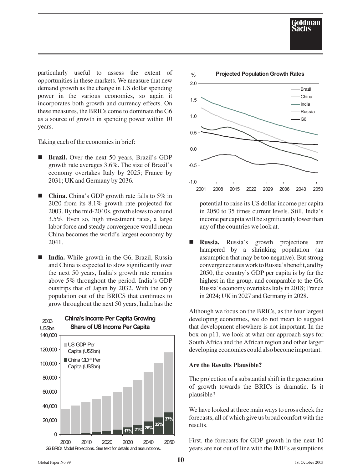particularly useful to assess the extent of opportunities in these markets. We measure that new demand growth as the change in US dollar spending power in the various economies, so again it incorporates both growth and currency effects. On these measures, the BRICs come to dominate the G6 as a source of growth in spending power within 10 years.

Taking each of the economies in brief:

- **Brazil.** Over the next 50 years, Brazil's GDP growth rate averages 3.6%. The size of Brazil's economy overtakes Italy by 2025; France by 2031; UK and Germany by 2036.
- **China.** China's GDP growth rate falls to 5% in 2020 from its 8.1% growth rate projected for 2003. By the mid-2040s, growth slows to around 3.5%. Even so, high investment rates, a large labor force and steady convergence would mean China becomes the world's largest economy by 2041.
- India. While growth in the G6, Brazil, Russia and China is expected to slow significantly over the next 50 years, India's growth rate remains above 5% throughout the period. India's GDP outstrips that of Japan by 2032. With the only population out of the BRICS that continues to grow throughout the next 50 years, India has the





potential to raise its US dollar income per capita in 2050 to 35 times current levels. Still, India's income per capita will be significantly lower than any of the countries we look at.

**Russia.** Russia's growth projections are hampered by a shrinking population (an assumption that may be too negative). But strong convergence rates work to Russia's benefit, and by 2050, the country's GDP per capita is by far the highest in the group, and comparable to the G6. Russia's economy overtakes Italy in 2018; France in 2024; UK in 2027 and Germany in 2028.

Although we focus on the BRICs, as the four largest developing economies, we do not mean to suggest that development elsewhere is not important. In the box on p11, we look at what our approach says for South Africa and the African region and other larger developing economies could also become important.

### **Are the Results Plausible?**

The projection of a substantial shift in the generation of growth towards the BRICs is dramatic. Is it plausible?

We have looked at three main ways to cross check the forecasts, all of which give us broad comfort with the results.

First, the forecasts for GDP growth in the next 10 years are not out of line with the IMF's assumptions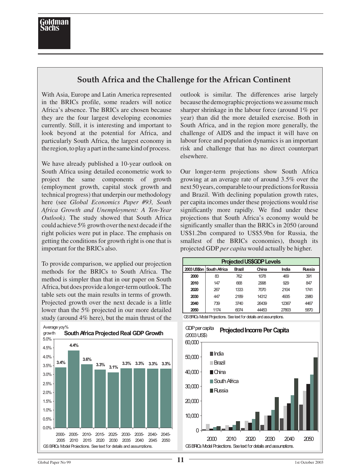# **South Africa and the Challenge for the African Continent**

With Asia, Europe and Latin America represented in the BRICs profile, some readers will notice Africa's absence. The BRICs are chosen because they are the four largest developing economies currently. Still, it is interesting and important to look beyond at the potential for Africa, and particularly South Africa, the largest economy in the region, to play a part in the same kind of process.

We have already published a 10-year outlook on South Africa using detailed econometric work to project the same components of growth (employment growth, capital stock growth and technical progress) that underpin our methodology here (see *Global Economics Paper #93, South Africa Growth and Unemployment: A Ten-Year Outlook).* The study showed that South Africa could achieve 5% growth over the next decade if the right policies were put in place. The emphasis on getting the conditions for growth right is one that is important for the BRICs also.

To provide comparison, we applied our projection methods for the BRICs to South Africa. The method is simpler than that in our paper on South Africa, but does provide a longer-term outlook. The table sets out the main results in terms of growth. Projected growth over the next decade is a little lower than the 5% projected in our more detailed study (around 4% here), but the main thrust of the



outlook is similar. The differences arise largely because the demographic projections we assume much sharper shrinkage in the labour force (around 1% per year) than did the more detailed exercise. Both in South Africa, and in the region more generally, the challenge of AIDS and the impact it will have on labour force and population dynamics is an important risk and challenge that has no direct counterpart elsewhere.

Our longer-term projections show South Africa growing at an average rate of around 3.5% over the next 50 years, comparable to our predictions for Russia and Brazil. With declining population growth rates, per capita incomes under these projections would rise significantly more rapidly. We find under these projections that South Africa's economy would be significantly smaller than the BRICs in 2050 (around US\$1.2bn compared to US\$5.9bn for Russia, the smallest of the BRICs economies), though its projected GDP *per capita* would actually be higher.

| <b>Projected US\$GDP Levels</b> |                                                                       |      |       |       |      |  |  |  |  |
|---------------------------------|-----------------------------------------------------------------------|------|-------|-------|------|--|--|--|--|
|                                 | 2003 US\$bn South Africa<br>China<br>Brazil<br>India<br><b>Russia</b> |      |       |       |      |  |  |  |  |
| 2000                            | 83                                                                    | 762  | 1078  | 469   | 391  |  |  |  |  |
| 2010                            | 147                                                                   | 668  | 2998  | 929   | 847  |  |  |  |  |
| 2020                            | 267                                                                   | 1333 | 7070  | 2104  | 1741 |  |  |  |  |
| 2030                            | 447                                                                   | 2189 | 14312 | 4935  | 2980 |  |  |  |  |
| 2040                            | 739                                                                   | 3740 | 26439 | 12367 | 4467 |  |  |  |  |
| 2050                            | 1174                                                                  | 6074 | 44453 | 27803 | 5870 |  |  |  |  |



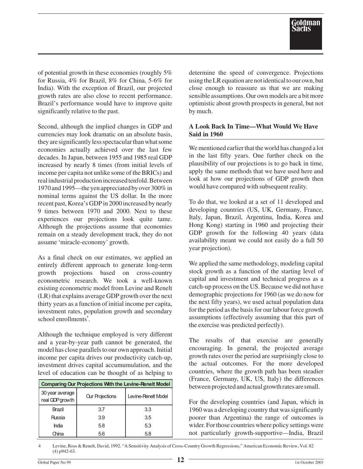of potential growth in these economies (roughly 5% for Russia, 4% for Brazil, 8% for China, 5-6% for India). With the exception of Brazil, our projected growth rates are also close to recent performance. Brazil's performance would have to improve quite significantly relative to the past.

Second, although the implied changes in GDP and currencies may look dramatic on an absolute basis, they are significantly less spectacular than what some economies actually achieved over the last few decades. In Japan, between 1955 and 1985 real GDP increased by nearly 8 times (from initial levels of income per capita not unlike some of the BRICs) and real industrial production increased tenfold. Between 1970 and 1995—the yen appreciated by over 300% in nominal terms against the US dollar. In the more recent past, Korea's GDP in 2000 increased by nearly 9 times between 1970 and 2000. Next to these experiences our projections look quite tame. Although the projections assume that economies remain on a steady development track, they do not assume 'miracle-economy' growth.

As a final check on our estimates, we applied an entirely different approach to generate long-term growth projections based on cross-country econometric research. We took a well-known existing econometric model from Levine and Renelt (LR) that explains average GDP growth over the next thirty years as a function of initial income per capita, investment rates, population growth and secondary school enrollments<sup>4</sup>.

Although the technique employed is very different and a year-by-year path cannot be generated, the model has close parallels to our own approach. Initial income per capita drives our productivity catch-up, investment drives capital accumumulation, and the level of education can be thought of as helping to

| <b>Comparing Our Projections With the Levine-Renelt Model</b> |                        |                     |  |  |  |  |  |  |  |  |
|---------------------------------------------------------------|------------------------|---------------------|--|--|--|--|--|--|--|--|
| 30 year average<br>real GDP growth                            | <b>Our Projections</b> | Levine-Renelt Model |  |  |  |  |  |  |  |  |
| Brazil                                                        | 3.7                    | 33                  |  |  |  |  |  |  |  |  |
| Russia                                                        | 3.9                    | 3.5                 |  |  |  |  |  |  |  |  |
| India                                                         | 5.8                    | 5.3                 |  |  |  |  |  |  |  |  |
| China                                                         | 5.6                    | 5.8                 |  |  |  |  |  |  |  |  |

determine the speed of convergence. Projections using the LR equation are not identical to our own, but close enough to reassure us that we are making sensible assumptions. Our own models are a bit more optimistic about growth prospects in general, but not by much.

### **A Look Back In Time—What Would We Have Said in 1960**

We mentioned earlier that the world has changed a lot in the last fifty years. One further check on the plausibility of our projections is to go back in time, apply the same methods that we have used here and look at how our projections of GDP growth then would have compared with subsequent reality.

To do that, we looked at a set of 11 developed and developing countries (US, UK, Germany, France, Italy, Japan, Brazil, Argentina, India, Korea and Hong Kong) starting in 1960 and projecting their GDP growth for the following 40 years (data availability meant we could not easily do a full 50 year projection).

We applied the same methodology, modeling capital stock growth as a function of the starting level of capital and investment and technical progress as a catch-up process on the US. Because we did not have demographic projections for 1960 (as we do now for the next fifty years), we used actual population data for the period as the basis for our labour force growth assumptions (effectively assuming that this part of the exercise was predicted perfectly).

The results of that exercise are generally encouraging. In general, the projected average growth rates over the period are surprisingly close to the actual outcomes. For the more developed countries, where the growth path has been steadier (France, Germany, UK, US, Italy) the differences between projected and actual growth rates are small.

For the developing countries (and Japan, which in 1960 was a developing country that was significantly poorer than Argentina) the range of outcomes is wider. For those countries where policy settings were not particularly growth-supportive—India, Brazil

4 Levine, Ross & Renelt, David, 1992. "A Sensitivity Analysis of Cross-Country Growth Regressions," American Economic Review, Vol. 82 (4) p942-63.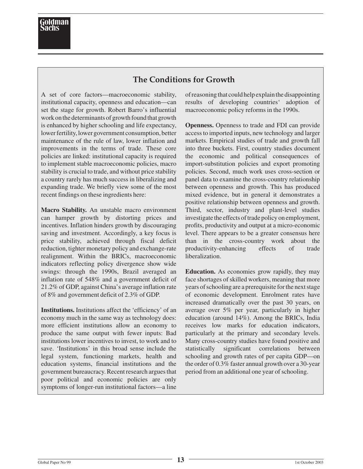# **The Conditions for Growth**

A set of core factors—macroeconomic stability, institutional capacity, openness and education—can set the stage for growth. Robert Barro's influential work on the determinants of growth found that growth is enhanced by higher schooling and life expectancy, lower fertility, lower government consumption, better maintenance of the rule of law, lower inflation and improvements in the terms of trade. These core policies are linked: institutional capacity is required to implement stable macroeconomic policies, macro stability is crucial to trade, and without price stability a country rarely has much success in liberalizing and expanding trade. We briefly view some of the most recent findings on these ingredients here:

**Macro Stability.** An unstable macro environment can hamper growth by distorting prices and incentives. Inflation hinders growth by discouraging saving and investment. Accordingly, a key focus is price stability, achieved through fiscal deficit reduction, tighter monetary policy and exchange-rate realignment. Within the BRICs, macroeconomic indicators reflecting policy divergence show wide swings: through the 1990s, Brazil averaged an inflation rate of 548% and a government deficit of 21.2% of GDP, against China's average inflation rate of 8% and government deficit of 2.3% of GDP.

**Institutions.** Institutions affect the 'efficiency' of an economy much in the same way as technology does: more efficient institutions allow an economy to produce the same output with fewer inputs: Bad institutions lower incentives to invest, to work and to save. 'Institutions' in this broad sense include the legal system, functioning markets, health and education systems, financial institutions and the government bureaucracy. Recent research argues that poor political and economic policies are only symptoms of longer-run institutional factors—a line of reasoning that could help explain the disappointing results of developing countries' adoption of macroeconomic policy reforms in the 1990s.

**Openness.** Openness to trade and FDI can provide access to imported inputs, new technology and larger markets. Empirical studies of trade and growth fall into three buckets. First, country studies document the economic and political consequences of import-substitution policies and export promoting policies. Second, much work uses cross-section or panel data to examine the cross-country relationship between openness and growth. This has produced mixed evidence, but in general it demonstrates a positive relationship between openness and growth. Third, sector, industry and plant-level studies investigate the effects of trade policy on employment, profits, productivity and output at a micro-economic level. There appears to be a greater consensus here than in the cross-country work about the productivity-enhancing effects of trade liberalization.

**Education.** As economies grow rapidly, they may face shortages of skilled workers, meaning that more years of schooling are a prerequisite for the next stage of economic development. Enrolment rates have increased dramatically over the past 30 years, on average over 5% per year, particularly in higher education (around 14%). Among the BRICs, India receives low marks for education indicators, particularly at the primary and secondary levels. Many cross-country studies have found positive and statistically significant correlations between schooling and growth rates of per capita GDP—on the order of 0.3% faster annual growth over a 30-year period from an additional one year of schooling.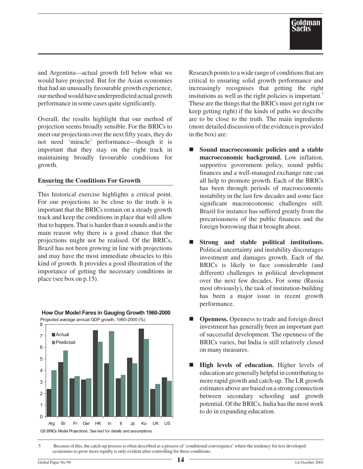and Argentina—actual growth fell below what we would have projected. But for the Asian economies that had an unusually favourable growth experience, our method would have underpredicted actual growth performance in some cases quite significantly.

Overall, the results highlight that our method of projection seems broadly sensible. For the BRICs to meet our projections over the next fifty years, they do not need 'miracle' performance—though it is important that they stay on the right track in maintaining broadly favourable conditions for growth.

### **Ensuring the Conditions For Growth**

This historical exercise highlights a critical point. For our projections to be close to the truth it is important that the BRICs remain on a steady growth track and keep the conditions in place that will allow that to happen. That is harder than it sounds and is the main reason why there is a good chance that the projections might not be realised. Of the BRICs, Brazil has not been growing in line with projections and may have the most immediate obstacles to this kind of growth. It provides a good illustration of the importance of getting the necessary conditions in place (see box on p.15).



Projected average annual GDP growth, 1960-2000 (%) **How Our Model Fares in Gauging Growth 1960-2000** Research points to a wide range of conditions that are critical to ensuring solid growth performance and increasingly recognises that getting the right insitutions as well as the right policies is important.<sup>5</sup> These are the things that the BRICs must get right (or keep getting right) if the kinds of paths we describe are to be close to the truth. The main ingredients (more detailed discussion of the evidence is provided in the box) are:

- Sound macroeconomic policies and a stable **macroeconomic background.** Low inflation, supportive government policy, sound public finances and a well-managed exchange rate can all help to promote growth. Each of the BRICs has been through periods of macroeconomic instability in the last few decades and some face significant macroeconomic challenges still. Brazil for instance has suffered greatly from the precariousness of the public finances and the foreign borrowing that it brought about.
- **Strong and stable political institutions.** Political uncertainty and instability discourages investment and damages growth. Each of the BRICs is likely to face considerable (and different) challenges in political development over the next few decades. For some (Russia most obviously), the task of institution-building has been a major issue in recent growth performance.
- $\blacksquare$  **Openness.** Openness to trade and foreign direct investment has generally been an important part of successful development. The openness of the BRICs varies, but India is still relatively closed on many measures.
- **High levels of education.** Higher levels of education are generally helpful in contributing to more rapid growth and catch-up. The LR growth estimates above are based on a strong connection between secondary schooling and growth potential. Of the BRICs, India has the most work to do in expanding education.

<sup>5</sup> Because of this, the catch-up process is often described as a process of 'conditional convergence' where the tendency for less developed economies to grow more rapidly is only evident after controlling for these conditions.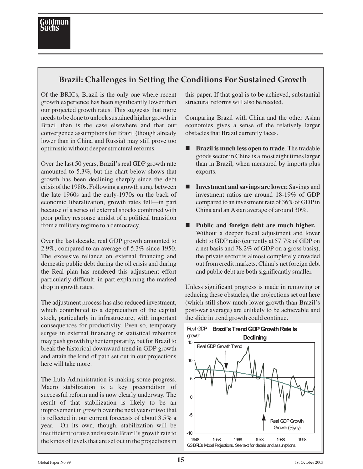# **Brazil: Challenges in Setting the Conditions For Sustained Growth**

Of the BRICs, Brazil is the only one where recent growth experience has been significantly lower than our projected growth rates. This suggests that more needs to be done to unlock sustained higher growth in Brazil than is the case elsewhere and that our convergence assumptions for Brazil (though already lower than in China and Russia) may still prove too optimistic without deeper structural reforms.

Over the last 50 years, Brazil's real GDP growth rate amounted to 5.3%, but the chart below shows that growth has been declining sharply since the debt crisis of the 1980s. Following a growth surge between the late 1960s and the early-1970s on the back of economic liberalization, growth rates fell—in part because of a series of external shocks combined with poor policy response amidst of a political transition from a military regime to a democracy.

Over the last decade, real GDP growth amounted to 2.9%, compared to an average of 5.3% since 1950. The excessive reliance on external financing and domestic public debt during the oil crisis and during the Real plan has rendered this adjustment effort particularly difficult, in part explaining the marked drop in growth rates.

The adjustment process has also reduced investment, which contributed to a depreciation of the capital stock, particularly in infrastructure, with important consequences for productivity. Even so, temporary surges in external financing or statistical rebounds may push growth higher temporarily, but for Brazil to break the historical downward trend in GDP growth and attain the kind of path set out in our projections here will take more.

The Lula Administration is making some progress. Macro stabilization is a key precondition of successful reform and is now clearly underway. The result of that stabilization is likely to be an improvement in growth over the next year or two that is reflected in our current forecasts of about 3.5% a year. On its own, though, stabilization will be insufficient to raise and sustain Brazil's growth rate to the kinds of levels that are set out in the projections in

this paper. If that goal is to be achieved, substantial structural reforms will also be needed.

Comparing Brazil with China and the other Asian economies gives a sense of the relatively larger obstacles that Brazil currently faces.

- **Brazil is much less open to trade**. The tradable goods sector in China is almost eight times larger than in Brazil, when measured by imports plus exports.
- **Investment and savings are lower.** Savings and investment ratios are around 18-19% of GDP compared to an investment rate of 36% of GDP in China and an Asian average of around 30%.
- **Public and foreign debt are much higher.** Without a deeper fiscal adjustment and lower debt to GDP ratio (currently at 57.7% of GDP on a net basis and 78.2% of GDP on a gross basis), the private sector is almost completely crowded out from credit markets. China's net foreign debt and public debt are both significantly smaller.

Unless significant progress is made in removing or reducing these obstacles, the projections set out here (which still show much lower growth than Brazil's post-war average) are unlikely to be achievable and the slide in trend growth could continue.

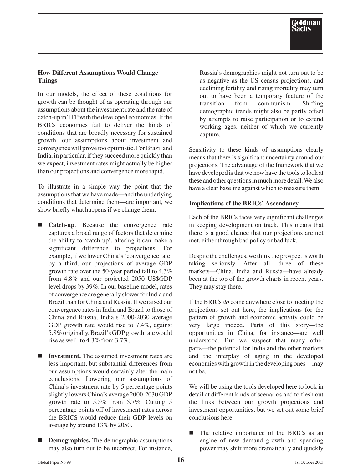## **How Different Assumptions Would Change Things**

In our models, the effect of these conditions for growth can be thought of as operating through our assumptions about the investment rate and the rate of catch-up in TFP with the developed economies. If the BRICs economies fail to deliver the kinds of conditions that are broadly necessary for sustained growth, our assumptions about investment and convergence will prove too optimistic. For Brazil and India, in particular, if they succeed more quickly than we expect, investment rates might actually be higher than our projections and convergence more rapid.

To illustrate in a simple way the point that the assumptions that we have made—and the underlying conditions that determine them—are important, we show briefly what happens if we change them:

- **Catch-up**. Because the convergence rate captures a broad range of factors that determine the ability to 'catch up', altering it can make a significant difference to projections. For example, if we lower China's 'convergence rate' by a third, our projections of average GDP growth rate over the 50-year period fall to 4.3% from 4.8% and our projected 2050 US\$GDP level drops by 39%. In our baseline model, rates of convergence are generally slower for India and Brazil than for China and Russia. If we raised our convergence rates in India and Brazil to those of China and Russia, India's 2000-2030 average GDP growth rate would rise to 7.4%, against 5.8% originally. Brazil's GDP growth rate would rise as well: to 4.3% from 3.7%.
- Investment. The assumed investment rates are less important, but substantial differences from our assumptions would certainly alter the main conclusions. Lowering our assumptions of China's investment rate by 5 percentage points slightly lowers China's average 2000-2030 GDP growth rate to 5.5% from 5.7%. Cutting 5 percentage points off of investment rates across the BRICS would reduce their GDP levels on average by around 13% by 2050.
- $\blacksquare$  **Demographics.** The demographic assumptions may also turn out to be incorrect. For instance,

Russia's demographics might not turn out to be as negative as the US census projections, and declining fertility and rising mortality may turn out to have been a temporary feature of the transition from communism. Shifting demographic trends might also be partly offset by attempts to raise participation or to extend working ages, neither of which we currently capture.

Sensitivity to these kinds of assumptions clearly means that there is significant uncertainty around our projections. The advantage of the framework that we have developed is that we now have the tools to look at these and other questions in much more detail. We also have a clear baseline against which to measure them.

# **Implications of the BRICs' Ascendancy**

Each of the BRICs faces very significant challenges in keeping development on track. This means that there is a good chance that our projections are not met, either through bad policy or bad luck.

Despite the challenges, we think the prospect is worth taking seriously. After all, three of these markets—China, India and Russia—have already been at the top of the growth charts in recent years. They may stay there.

If the BRICs *do* come anywhere close to meeting the projections set out here, the implications for the pattern of growth and economic activity could be very large indeed. Parts of this story—the opportunities in China, for instance—are well understood. But we suspect that many other parts—the potential for India and the other markets and the interplay of aging in the developed economies with growth in the developing ones—may not be.

We will be using the tools developed here to look in detail at different kinds of scenarios and to flesh out the links between our growth projections and investment opportunities, but we set out some brief conclusions here:

 The relative importance of the BRICs as an engine of new demand growth and spending power may shift more dramatically and quickly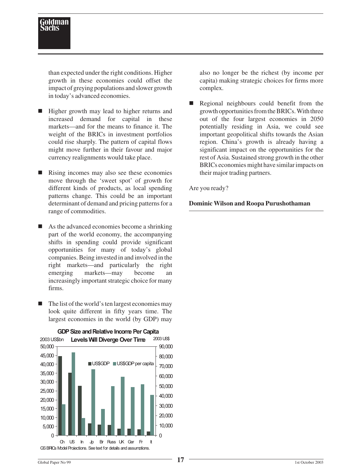than expected under the right conditions. Higher growth in these economies could offset the impact of greying populations and slower growth in today's advanced economies.

- Higher growth may lead to higher returns and increased demand for capital in these markets—and for the means to finance it. The weight of the BRICs in investment portfolios could rise sharply. The pattern of capital flows might move further in their favour and major currency realignments would take place.
- Rising incomes may also see these economies move through the 'sweet spot' of growth for different kinds of products, as local spending patterns change. This could be an important determinant of demand and pricing patterns for a range of commodities.
- As the advanced economies become a shrinking part of the world economy, the accompanying shifts in spending could provide significant opportunities for many of today's global companies. Being invested in and involved in the right markets—and particularly the right emerging markets—may become an increasingly important strategic choice for many firms.
- $\blacksquare$  The list of the world's ten largest economies may look quite different in fifty years time. The largest economies in the world (by GDP) may



also no longer be the richest (by income per capita) making strategic choices for firms more complex.

 Regional neighbours could benefit from the growth opportunities from the BRICs. With three out of the four largest economies in 2050 potentially residing in Asia, we could see important geopolitical shifts towards the Asian region. China's growth is already having a significant impact on the opportunities for the rest of Asia. Sustained strong growth in the other BRICs economies might have similar impacts on their major trading partners.

Are you ready?

### **Dominic Wilson and Roopa Purushothaman**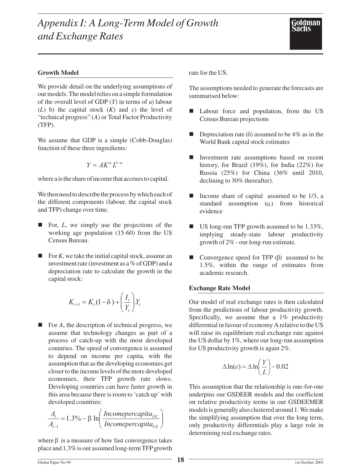### **Growth Model**

We provide detail on the underlying assumptions of our models. The model relies on a simple formulation of the overall level of GDP (*Y*) in terms of a) labour (*L*) b) the capital stock (*K*) and c) the level of "technical progress" (*A*) or Total Factor Productivity (TFP).

We assume that GDP is a simple (Cobb-Douglas) function of these three ingredients:

$$
Y = AK^{\alpha}L^{1-\alpha}
$$

where a is the share of income that accrues to capital.

We then need to describe the process by which each of the different components (labour, the capital stock and TFP) change over time.

- For, *L*, we simply use the projections of the working age population (15-60) from the US Census Bureau.
- $\blacksquare$  For *K*, we take the initial capital stock, assume an investment rate (investment as a % of GDP) and a depreciation rate to calculate the growth in the capital stock:

$$
K_{t+1} = K_t (1 - \delta) + \left(\frac{I_t}{Y_t}\right) Y_t
$$

■ For *A*, the description of technical progress, we assume that technology changes as part of a process of catch-up with the most developed countries. The speed of convergence is assumed to depend on income per capita, with the assumption that as the developing economies get closer to the income levels of the more developed economies, their TFP growth rate slows. Developing countries can have faster growth in this area because there is room to 'catch up' with developed countries:

$$
\frac{A_t}{A_{t-1}} = 1.3\% - \beta \ln \left( \frac{Incompercapita_{DC}}{Incompercapita_{US}} \right)
$$

where  $\beta$  is a measure of how fast convergence takes place and 1.3% is our assumed long-term TFP growth rate for the US.

The assumptions needed to generate the forecasts are summarised below:

- Labour force and population, from the US Census Bureau projections
- **Depreciation rate (** $\delta$ **) assumed to be 4% as in the** World Bank capital stock estimates
- Investment rate assumptions based on recent history, for Brazil (19%), for India (22%) for Russia (25%) for China (36% until 2010, declining to 30% thereafter).
- Income share of capital assumed to be 1/3, a standard assumption  $(\alpha)$  from historical evidence
- $\blacksquare$  US long-run TFP growth assumed to be 1.33%, implying steady-state labour productivity growth of 2% - our long-run estimate.
- Convergence speed for TFP  $(\beta)$  assumed to be 1.5%, within the range of estimates from academic research.

### **Exchange Rate Model**

Our model of real exchange rates is then calculated from the predictions of labour productivity growth. Specifically, we assume that a 1% productivity differential in favour of economy A relative to the US will raise its equilibrium real exchange rate against the US dollar by 1%, where our long-run assumption for US productivity growth is again 2%.

$$
\Delta \ln(e) = \Delta \ln\left(\frac{Y}{L}\right) - 0.02
$$

This assumption that the relationship is one-for-one underpins our GSDEER models and the coefficient on relative productivity terms in our GSDEEMER models is generally also clustered around 1. We make the simplifying assumption that over the long term, only productivity differentials play a large role in determining real exchange rates.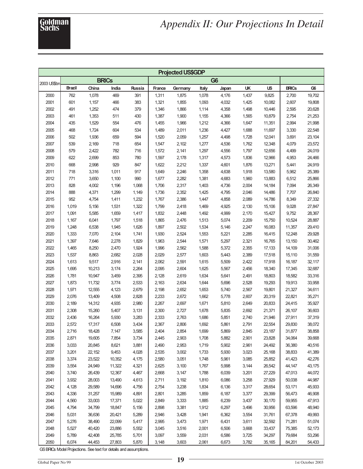| <b>Projected US\$GDP</b> |               |        |              |        |        |         |       |                |       |        |             |        |
|--------------------------|---------------|--------|--------------|--------|--------|---------|-------|----------------|-------|--------|-------------|--------|
| 2003 US\$bn              |               |        | <b>BRICs</b> |        |        |         |       | G <sub>6</sub> |       |        |             |        |
|                          | <b>Brazil</b> | China  | India        | Russia | France | Germany | Italy | Japan          | UK    | US     | <b>BRCs</b> | G6     |
| 2000                     | 762           | 1,078  | 469          | 391    | 1,311  | 1,875   | 1,078 | 4,176          | 1,437 | 9,825  | 2,700       | 19,702 |
| 2001                     | 601           | 1,157  | 466          | 383    | 1,321  | 1,855   | 1,093 | 4,032          | 1,425 | 10,082 | 2,607       | 19,808 |
| 2002                     | 491           | 1,252  | 474          | 379    | 1,346  | 1,866   | 1,114 | 4,358          | 1,498 | 10,446 | 2,595       | 20,628 |
| 2003                     | 461           | 1,353  | 511          | 430    | 1,387  | 1,900   | 1,155 | 4,366          | 1,565 | 10,879 | 2,754       | 21,253 |
| 2004                     | 435           | 1,529  | 554          | 476    | 1,455  | 1,966   | 1,212 | 4,366          | 1,647 | 11,351 | 2,994       | 21,998 |
| 2005                     | 468           | 1,724  | 604          | 534    | 1,489  | 2,011   | 1,236 | 4,427          | 1,688 | 11,697 | 3,330       | 22,548 |
| 2006                     | 502           | 1,936  | 659          | 594    | 1,520  | 2,059   | 1,257 | 4,498          | 1,728 | 12,041 | 3,691       | 23,104 |
| 2007                     | 539           | 2,169  | 718          | 654    | 1,547  | 2,102   | 1,277 | 4,536          | 1,762 | 12,348 | 4,079       | 23,572 |
| 2008                     | 579           | 2,422  | 782          | 716    | 1,572  | 2,141   | 1,297 | 4,556          | 1,797 | 12,656 | 4,499       | 24,019 |
| 2009                     | 622           | 2,699  | 853          | 780    | 1,597  | 2,178   | 1,317 | 4,573          | 1,836 | 12,966 | 4,953       | 24,466 |
| 2010                     | 668           | 2,998  | 929          | 847    | 1,622  | 2,212   | 1,337 | 4,601          | 1,876 | 13,271 | 5,441       | 24,919 |
| 2011                     | 718           | 3,316  | 1,011        | 917    | 1,649  | 2,246   | 1,358 | 4,638          | 1,918 | 13,580 | 5,962       | 25,389 |
| 2012                     | 771           | 3,650  | 1,100        | 990    | 1,677  | 2,282   | 1,381 | 4,683          | 1,960 | 13,883 | 6,512       | 25,866 |
| 2013                     | 828           | 4,002  | 1,196        | 1,068  | 1,706  | 2,317   | 1,403 | 4,736          | 2,004 | 14,184 | 7,094       | 26,349 |
| 2014                     | 888           | 4,371  | 1,299        | 1,149  | 1,736  | 2,352   | 1,425 | 4,795          | 2,046 | 14,486 | 7,707       | 26,840 |
| 2015                     | 952           | 4,754  | 1,411        | 1,232  | 1,767  | 2,386   | 1,447 | 4,858          | 2,089 | 14,786 | 8,349       | 27,332 |
| 2016                     | 1,019         | 5,156  | 1,531        | 1,322  | 1,799  | 2,418   | 1,469 | 4,925          | 2,130 | 15,106 | 9,028       | 27,847 |
| 2017                     | 1,091         | 5,585  | 1,659        | 1,417  | 1,832  | 2,448   | 1,492 | 4,999          | 2,170 | 15,427 | 9,752       | 28,367 |
| 2018                     | 1,167         | 6,041  | 1,797        | 1,518  | 1,865  | 2,476   | 1,513 | 5,074          | 2,209 | 15,750 | 10,524      | 28,887 |
| 2019                     | 1,248         | 6,538  | 1,945        | 1,626  | 1,897  | 2,502   | 1,534 | 5,146          | 2,247 | 16,083 | 11,357      | 29,410 |
| 2020                     | 1,333         | 7,070  | 2,104        | 1,741  | 1,930  | 2,524   | 1,553 | 5,221          | 2,285 | 16,415 | 12,248      | 29,928 |
| 2021                     | 1,397         | 7,646  | 2,278        | 1,829  | 1,963  | 2,544   | 1,571 | 5,297          | 2,321 | 16,765 | 13,150      | 30,462 |
| 2022                     | 1,465         | 8,250  | 2,470        | 1,924  | 1,996  | 2,562   | 1,588 | 5,372          | 2,355 | 17,133 | 14,109      | 31,006 |
| 2023                     | 1,537         | 8,863  | 2,682        | 2,028  | 2,029  | 2,577   | 1,603 | 5,443          | 2,389 | 17,518 | 15,110      | 31,559 |
| 2024                     | 1,613         | 9,517  | 2,916        | 2,141  | 2,062  | 2,591   | 1,615 | 5,509          | 2,422 | 17,918 | 16,187      | 32,117 |
| 2025                     | 1,695         | 10,213 | 3,174        | 2,264  | 2,095  | 2,604   | 1,625 | 5,567          | 2,456 | 18,340 | 17,345      | 32,687 |
| 2026                     | 1,781         | 10,947 | 3,459        | 2,395  | 2,128  | 2,619   | 1,634 | 5,641          | 2,491 | 18,803 | 18,582      | 33,316 |
| 2027                     | 1,873         | 11,732 | 3,774        | 2,533  | 2,163  | 2,634   | 1,644 | 5,696          | 2,528 | 19,293 | 19,913      | 33,958 |
| 2028                     | 1,971         | 12,555 | 4,123        | 2,679  | 2,198  | 2,652   | 1,653 | 5,740          | 2,567 | 19,801 | 21,327      | 34,611 |
| 2029                     | 2,076         | 13,409 | 4,508        | 2,828  | 2,233  | 2,672   | 1,662 | 5,778          | 2,607 | 20,319 | 22,821      | 35,271 |
| 2030                     | 2,189         | 14,312 | 4,935        | 2,980  | 2,267  | 2,697   | 1,671 | 5,810          | 2,649 | 20,833 | 24,415      | 35,927 |
| 2031                     | 2,308         | 15,260 | 5,407        | 3,131  | 2,300  | 2,727   | 1,678 | 5,835          | 2,692 | 21,371 | 26,107      | 36,603 |
| 2032                     | 2,436         | 16,264 | 5,930        | 3,283  | 2,333  | 2,763   | 1,686 | 5,851          | 2,740 | 21,946 | 27,911      | 37,319 |
| 2033                     | 2,572         | 17,317 | 6,508        | 3,434  | 2,367  | 2,806   | 1,692 | 5,861          | 2,791 | 22,554 | 29,830      | 38,072 |
| 2034                     | 2,716         | 18,428 | 7,147        | 3,585  | 2,404  | 2,854   | 1,699 | 5,869          | 2,845 | 23,187 | 31,877      | 38,858 |
| 2035                     | 2,871         | 19,605 | 7,854        | 3,734  | 2,445  | 2,903   | 1,708 | 5,882          | 2,901 | 23,828 | 34,064      | 39,668 |
| 2036                     | 3,033         | 20,845 | 8,621        | 3,881  | 2,490  | 2,953   | 1,719 | 5,902          | 2,961 | 24,492 | 36,380      | 40,516 |
| 2037                     | 3,201         | 22,152 | 9,453        | 4,028  | 2,535  | 3,002   | 1,733 | 5,930          | 3,023 | 25,168 | 38,833      | 41,389 |
| 2038                     | 3,374         | 23,522 | 10,352       | 4,175  | 2,580  | 3,051   | 1,748 | 5,961          | 3,085 | 25,852 | 41,423      | 42,276 |
| 2039                     | 3,554         | 24,949 | 11,322       | 4,321  | 2,625  | 3,100   | 1,767 | 5,998          | 3,144 | 26,542 | 44,147      | 43,175 |
| 2040                     | 3,740         | 26,439 | 12,367       | 4,467  | 2,668  | 3,147   | 1,788 | 6,039          | 3,201 | 27,229 | 47,013      | 44,072 |
| 2041                     | 3,932         | 28,003 | 13,490       | 4,613  | 2,711  | 3,192   | 1,810 | 6,086          | 3,258 | 27,929 | 50,038      | 44,987 |
| 2042                     | 4,128         | 29,589 | 14,696       | 4,756  | 2,754  | 3,238   | 1,834 | 6,136          | 3,317 | 28,654 | 53,171      | 45,933 |
| 2043                     | 4,336         | 31,257 | 15,989       | 4,891  | 2,801  | 3,285   | 1,859 | 6,187          | 3,377 | 29,399 | 56,473      | 46,908 |
| 2044                     | 4,560         | 33,003 | 17,371       | 5,022  | 2,849  | 3,333   | 1,885 | 6,239          | 3,437 | 30,170 | 59,955      | 47,913 |
| 2045                     | 4,794         | 34,799 | 18,847       | 5,156  | 2,898  | 3,381   | 1,912 | 6,297          | 3,496 | 30,956 | 63,596      | 48,940 |
| 2046                     | 5,031         | 36,636 | 20,421       | 5,289  | 2,946  | 3,428   | 1,941 | 6,362          | 3,554 | 31,761 | 67,378      | 49,993 |
| 2047                     | 5,276         | 38,490 | 22,099       | 5,417  | 2,995  | 3,473   | 1,971 | 6,431          | 3,611 | 32,592 | 71,281      | 51,074 |
| 2048                     | 5,527         | 40,420 | 23,886       | 5,552  | 3,045  | 3,516   | 2,001 | 6,506          | 3,668 | 33,437 | 75,385      | 52,173 |
| 2049                     | 5,789         | 42,408 | 25,785       | 5,701  | 3,097  | 3,559   | 2,031 | 6,586          | 3,725 | 34,297 | 79,684      | 53,296 |
| 2050                     | 6,074         | 44,453 | 27,803       | 5,870  | 3,148  | 3,603   | 2,061 | 6,673          | 3,782 | 35,165 | 84,201      | 54,433 |

GS BRICs Model Projections. See text for details and assumptions.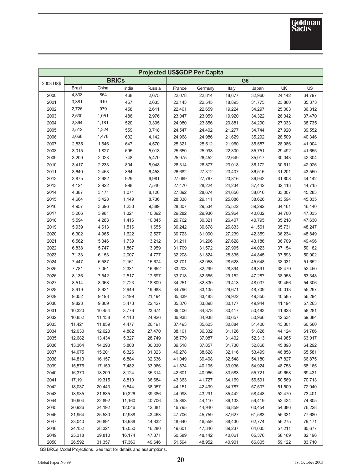| <b>Projected US\$GDP Per Capita</b> |        |              |        |        |        |         |        |                |        |        |
|-------------------------------------|--------|--------------|--------|--------|--------|---------|--------|----------------|--------|--------|
| 2003 US\$                           |        | <b>BRICs</b> |        |        |        |         |        | G <sub>6</sub> |        |        |
|                                     | Brazil | China        | India  | Russia | France | Germany | Italy  | Japan          | UK     | US     |
| 2000                                | 4,338  | 854          | 468    | 2,675  | 22,078 | 22,814  | 18,677 | 32,960         | 24,142 | 34,797 |
| 2001                                | 3,381  | 910          | 457    | 2,633  | 22,143 | 22,545  | 18,895 | 31,775         | 23,860 | 35,373 |
| 2002                                | 2,726  | 979          | 458    | 2,611  | 22,461 | 22,659  | 19,224 | 34,297         | 25,003 | 36,312 |
| 2003                                | 2,530  | 1,051        | 486    | 2,976  | 23,047 | 23,059  | 19,920 | 34,322         | 26,042 | 37,470 |
| 2004                                | 2,364  | 1,181        | 520    | 3,305  | 24,080 | 23,856  | 20,881 | 34,290         | 27,333 | 38,735 |
| 2005                                | 2,512  | 1,324        | 559    | 3,718  | 24,547 | 24,402  | 21,277 | 34,744         | 27,920 | 39,552 |
| 2006                                | 2,668  | 1,478        | 602    | 4,142  | 24,968 | 24,986  | 21,629 | 35,292         | 28,509 | 40,346 |
| 2007                                | 2,835  | 1,646        | 647    | 4,570  | 25,321 | 25,512  | 21,960 | 35,587         | 28,986 | 41,004 |
| 2008                                | 3,015  | 1,827        | 695    | 5,013  | 25,650 | 25,998  | 22,300 | 35,751         | 29,492 | 41,655 |
| 2009                                | 3,209  | 2,023        | 748    | 5,470  | 25,975 | 26,452  | 22,649 | 35,917         | 30,043 | 42,304 |
| 2010                                | 3,417  | 2,233        | 804    | 5,948  | 26,314 | 26,877  | 23,018 | 36,172         | 30,611 | 42,926 |
| 2011                                | 3,640  | 2,453        | 864    | 6,453  | 26,682 | 27,312  | 23,407 | 36,516         | 31,201 | 43,550 |
| 2012                                | 3,875  | 2,682        | 929    | 6,981  | 27,069 | 27,767  | 23,816 | 36,942         | 31,808 | 44,142 |
| 2013                                | 4,124  | 2,922        | 998    | 7,540  | 27,470 | 28,224  | 24,234 | 37,442         | 32,413 | 44,715 |
| 2014                                | 4,387  | 3,171        | 1,071  | 8,126  | 27,892 | 28,674  | 24,656 | 38,016         | 33,007 | 45,283 |
| 2015                                | 4,664  | 3,428        | 1,149  | 8,736  | 28,338 | 29,111  | 25,086 | 38,626         | 33,594 | 45,835 |
| 2016                                | 4,957  | 3,696        | 1,233  | 9,389  | 28,807 | 29,534  | 25,522 | 39,292         | 34,161 | 46,440 |
| 2017                                | 5,266  | 3,981        | 1,321  | 10,092 | 29,282 | 29,936  | 25,964 | 40,032         | 34,700 | 47,035 |
| 2018                                | 5,594  | 4,283        | 1,416  | 10,845 | 29,762 | 30,321  | 26,407 | 40,795         | 35,218 | 47,630 |
| 2019                                | 5,939  | 4,613        | 1,516  | 11,655 | 30,242 | 30,678  | 26,833 | 41,561         | 35,731 | 48,247 |
| 2020                                | 6,302  | 4,965        | 1,622  | 12,527 | 30,723 | 31,000  | 27,239 | 42,359         | 36,234 | 48,849 |
| 2021                                | 6,562  | 5,346        | 1,739  | 13,212 | 31,211 | 31,296  | 27,628 | 43,186         | 36,709 | 49,496 |
| 2022                                | 6,838  | 5,747        | 1,867  | 13,959 | 31,709 | 31,572  | 27,995 | 44,023         | 37,154 | 50,182 |
| 2023                                | 7,133  | 6,153        | 2,007  | 14,777 | 32,208 | 31,824  | 28,335 | 44,845         | 37,593 | 50,902 |
| 2024                                | 7,447  | 6,587        | 2,161  | 15,674 | 32,701 | 32,058  | 28,628 | 45,648         | 38,031 | 51,652 |
| 2025                                | 7,781  | 7,051        | 2,331  | 16,652 | 33,203 | 32,299  | 28,894 | 46,391         | 38,479 | 52,450 |
| 2026                                | 8,136  | 7,542        | 2,517  | 17,697 | 33,718 | 32,555  | 29,152 | 47,287         | 38,958 | 53,348 |
| 2027                                | 8,514  | 8,068        | 2,723  | 18,809 | 34,251 | 32,830  | 29,413 | 48,037         | 39,466 | 54,306 |
| 2028                                | 8,919  | 8,621        | 2,949  | 19,983 | 34,796 | 33,135  | 29,671 | 48,709         | 40,013 | 55,297 |
| 2029                                | 9,352  | 9,198        | 3,199  | 21,194 | 35,339 | 33,483  | 29,922 | 49,350         | 40,585 | 56,294 |
| 2030                                | 9,823  | 9,809        | 3,473  | 22,427 | 35,876 | 33,898  | 30,177 | 49,944         | 41,194 | 57,263 |
| 2031                                | 10,320 | 10,454       | 3,776  | 23,674 | 36,406 | 34,378  | 30,417 | 50,483         | 41,823 | 58,281 |
| 2032                                | 10,852 | 11,138       | 4,110  | 24,926 | 36,938 | 34,938  | 30,657 | 50,966         | 42,534 | 59,384 |
| 2033                                | 11,421 | 11,859       | 4,477  | 26,191 | 37,493 | 35,605  | 30,884 | 51,400         | 43,301 | 60,560 |
| 2034                                | 12,030 | 12,623       | 4,882  | 27,470 | 38,101 | 36,332  | 31,126 | 51,826         | 44,124 | 61,786 |
| 2035                                | 12,682 | 13,434       | 5,327  | 28,749 | 38,779 | 37,087  | 31,402 | 52,313         | 44,985 | 63,017 |
| 2036                                | 13,364 | 14,293       | 5,808  | 30,030 | 39,518 | 37,857  | 31,730 | 52,868         | 45,898 | 64,292 |
| 2037                                | 14,075 | 15,201       | 6,326  | 31,323 | 40,278 | 38,628  | 32,116 | 53,499         | 46,858 | 65,581 |
| 2038                                | 14,813 | 16,157       | 6,884  | 32,636 | 41,049 | 39,408  | 32,548 | 54,180         | 47,827 | 66,875 |
| 2039                                | 15,576 | 17,159       | 7,482  | 33,966 | 41,834 | 40,195  | 33,036 | 54,924         | 48,758 | 68,165 |
| 2040                                | 16,370 | 18,209       | 8,124  | 35,314 | 42,601 | 40,966  | 33,583 | 55,721         | 49,658 | 69,431 |
| 2041                                | 17,191 | 19,315       | 8,810  | 36,684 | 43,363 | 41,727  | 34,169 | 56,591         | 50,569 | 70,713 |
| 2042                                | 18,037 | 20,443       | 9,544  | 38,057 | 44,151 | 42,499  | 34,787 | 57,507         | 51,509 | 72,040 |
| 2043                                | 18,935 | 21,635       | 10,326 | 39,386 | 44,998 | 43,291  | 35,442 | 58,448         | 52,470 | 73,401 |
| 2044                                | 19,904 | 22,892       | 11,160 | 40,706 | 45,893 | 44,110  | 36,133 | 59,419         | 53,434 | 74,805 |
| 2045                                | 20,926 | 24,192       | 12,046 | 42,081 | 46,795 | 44,940  | 36,859 | 60,454         | 54,386 | 76,228 |
| 2046                                | 21,964 | 25,530       | 12,988 | 43,463 | 47,706 | 45,759  | 37,627 | 61,583         | 55,331 | 77,680 |
| 2047                                | 23,040 | 26,891       | 13,988 | 44,832 | 48,640 | 46,559  | 38,430 | 62,774         | 56,275 | 79,171 |
| 2048                                | 24,152 | 28,321       | 15,050 | 46,280 | 49,601 | 47,346  | 39,237 | 64,035         | 57,211 | 80,677 |
| 2049                                | 25,318 | 29,810       | 16,174 | 47,871 | 50,589 | 48,142  | 40,061 | 65,376         | 58,169 | 82,196 |
| 2050                                | 26,592 | 31,357       | 17,366 | 49,646 | 51,594 | 48,952  | 40,901 | 66,805         | 59,122 | 83,710 |

GS BRICs Model Projections. See text for details and assumptions.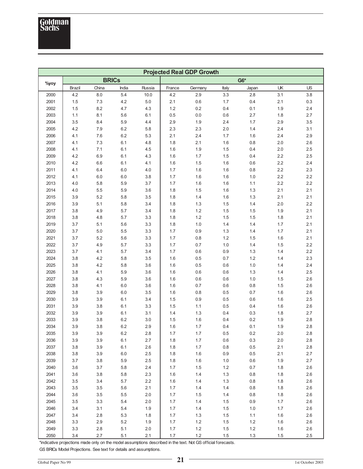| <b>Projected Real GDP Growth</b> |               |              |         |         |         |         |       |         |         |         |
|----------------------------------|---------------|--------------|---------|---------|---------|---------|-------|---------|---------|---------|
| $%$ yoy                          |               | <b>BRICs</b> |         |         |         |         |       | $G6*$   |         |         |
|                                  | <b>Brazil</b> | China        | India   | Russia  | France  | Germany | Italy | Japan   | UK      | US      |
| 2000                             | 4.2           | 8.0          | 5.4     | 10.0    | 4.2     | 2.9     | 3.3   | 2.8     | 3.1     | 3.8     |
| 2001                             | 1.5           | $7.3\,$      | 4.2     | 5.0     | 2.1     | $0.6\,$ | 1.7   | 0.4     | 2.1     | 0.3     |
| 2002                             | 1.5           | 8.2          | 4.7     | 4.3     | 1.2     | $0.2\,$ | 0.4   | 0.1     | 1.9     | 2.4     |
| 2003                             | 1.1           | 8.1          | 5.6     | 6.1     | 0.5     | $0.0\,$ | 0.6   | 2.7     | 1.8     | 2.7     |
| 2004                             | 3.5           | 8.4          | 5.9     | 4.4     | 2.9     | 1.9     | 2.4   | 1.7     | 2.9     | 3.5     |
| 2005                             | 4.2           | 7.9          | $6.2\,$ | 5.8     | 2.3     | 2.3     | 2.0   | 1.4     | 2.4     | 3.1     |
| 2006                             | 4.1           | 7.6          | 6.2     | 5.3     | 2.1     | 2.4     | 1.7   | 1.6     | 2.4     | 2.9     |
| 2007                             | 4.1           | $7.3$        | 6.1     | 4.8     | 1.8     | 2.1     | 1.6   | 0.8     | 2.0     | 2.6     |
| 2008                             | 4.1           | 7.1          | 6.1     | 4.5     | 1.6     | 1.9     | 1.5   | 0.4     | 2.0     | 2.5     |
| 2009                             | 4.2           | 6.9          | 6.1     | 4.3     | 1.6     | 1.7     | 1.5   | 0.4     | 2.2     | 2.5     |
| 2010                             | 4.2           | 6.6          | 6.1     | 4.1     | 1.6     | 1.5     | 1.6   | 0.6     | 2.2     | 2.4     |
| 2011                             | 4.1           | 6.4          | 6.0     | 4.0     | 1.7     | $1.6\,$ | 1.6   | 0.8     | 2.2     | 2.3     |
| 2012                             | 4.1           | $6.0\,$      | 6.0     | 3.8     | 1.7     | 1.6     | 1.6   | 1.0     | 2.2     | 2.2     |
| 2013                             | 4.0           | 5.8          | 5.9     | 3.7     | $1.7\,$ | $1.6\,$ | 1.6   | 1.1     | 2.2     | 2.2     |
| 2014                             | 4.0           | 5.5          | 5.9     | 3.6     | 1.8     | $1.5\,$ | 1.6   | 1.3     | 2.1     | 2.1     |
| 2015                             | 3.9           | $5.2\,$      | 5.8     | 3.5     | 1.8     | 1.4     | 1.6   | 1.3     | 2.1     | 2.1     |
| 2016                             | 3.9           | 5.1          | 5.8     | 3.4     | 1.8     | 1.3     | 1.5   | 1.4     | 2.0     | 2.2     |
| 2017                             | 3.8           | 4.9          | 5.7     | 3.4     | 1.8     | $1.2\,$ | 1.5   | 1.5     | 1.9     | 2.1     |
| 2018                             | $3.8\,$       | 4.8          | 5.7     | 3.3     | 1.8     | $1.2\,$ | 1.5   | 1.5     | 1.8     | 2.1     |
| 2019                             | 3.7           | 5.1          | 5.6     | 3.3     | 1.8     | $1.0\,$ | 1.4   | 1.4     | 1.7     | 2.1     |
| 2020                             | 3.7           | 5.0          | 5.5     | 3.3     | 1.7     | $0.9\,$ | 1.3   | 1.4     | 1.7     | 2.1     |
| 2021                             | 3.7           | 5.2          | 5.6     | 3.3     | 1.7     | $0.8\,$ | 1.2   | 1.5     | 1.6     | 2.1     |
| 2022                             | 3.7           | 4.9          | 5.7     | 3.3     | 1.7     | $0.7\,$ | 1.0   | 1.4     | 1.5     | 2.2     |
| 2023                             | 3.7           | 4.1          | 5.7     | 3.4     | 1.7     | $0.6\,$ | 0.9   | 1.3     | 1.4     | 2.2     |
| 2024                             | 3.8           | 4.2          | 5.8     | 3.5     | 1.6     | 0.5     | 0.7   | 1.2     | 1.4     | 2.3     |
| 2025                             | $3.8\,$       | 4.2          | 5.8     | 3.6     | 1.6     | 0.5     | 0.6   | 1.0     | 1.4     | 2.4     |
| 2026                             | $3.8\,$       | 4.1          | 5.9     | 3.6     | 1.6     | $0.6\,$ | 0.6   | 1.3     | 1.4     | 2.5     |
| 2027                             | $3.8\,$       | 4.3          | 5.9     | 3.6     | 1.6     | $0.6\,$ | 0.6   | 1.0     | 1.5     | 2.6     |
| 2028                             | $3.8\,$       | 4.1          | $6.0\,$ | 3.6     | 1.6     | $0.7\,$ | 0.6   | 0.8     | 1.5     | 2.6     |
| 2029                             | $3.8\,$       | 3.9          | $6.0\,$ | 3.5     | 1.6     | 0.8     | 0.5   | 0.7     | 1.6     | 2.6     |
| 2030                             | 3.9           | 3.9          | 6.1     | 3.4     | 1.5     | 0.9     | 0.5   | 0.6     | 1.6     | 2.5     |
| 2031                             | 3.9           | $3.8\,$      | 6.1     | 3.3     | 1.5     | 1.1     | 0.5   | 0.4     | 1.6     | 2.6     |
| 2032                             | 3.9           | 3.9          | 6.1     | 3.1     | 1.4     | 1.3     | 0.4   | 0.3     | 1.8     | 2.7     |
| 2033                             | 3.9           | 3.8          | 6.2     | 3.0     | 1.5     | $1.6\,$ | 0.4   | 0.2     | 1.9     | 2.8     |
| 2034                             | 3.9           | $3.8\,$      | 6.2     | 2.9     | 1.6     | $1.7\,$ | 0.4   | 0.1     | 1.9     | 2.8     |
| 2035                             | 3.9           | $3.9\,$      | 6.2     | 2.8     | 1.7     | $1.7\,$ | 0.5   | 0.2     | 2.0     | 2.8     |
| 2036                             | 3.9           | 3.9          | 6.1     | 2.7     | 1.8     | 1.7     | 0.6   | 0.3     | 2.0     | 2.8     |
| 2037                             | $3.8\,$       | 3.9          | 6.1     | 2.6     | 1.8     | $1.7\,$ | 0.8   | 0.5     | 2.1     | $2.8\,$ |
| 2038                             | $3.8\,$       | 3.9          | $6.0\,$ | 2.5     | 1.8     | $1.6\,$ | 0.9   | 0.5     | 2.1     | 2.7     |
| 2039                             | 3.7           | $3.8\,$      | 5.9     | $2.5\,$ | 1.8     | $1.6$   | $1.0$ | 0.6     | 1.9     | 2.7     |
|                                  |               |              |         |         |         |         |       |         |         |         |
| 2040                             | 3.6           | 3.7          | 5.8     | $2.4\,$ | 1.7     | $1.5\,$ | 1.2   | 0.7     | 1.8     | 2.6     |
| 2041                             | 3.6           | $3.8\,$      | 5.8     | 2.3     | 1.6     | 1.4     | 1.3   | 0.8     | 1.8     | 2.6     |
| 2042                             | $3.5\,$       | $3.4\,$      | 5.7     | 2.2     | 1.6     | $1.4$   | 1.3   | 0.8     | 1.8     | 2.6     |
| 2043                             | 3.5           | 3.5          | 5.6     | 2.1     | 1.7     | 1.4     | 1.4   | 0.8     | 1.8     | 2.6     |
| 2044                             | 3.6           | 3.5          | 5.5     | 2.0     | 1.7     | 1.5     | 1.4   | 0.8     | 1.8     | 2.6     |
| 2045                             | 3.5           | 3.3          | 5.4     | 2.0     | 1.7     | 1.4     | 1.5   | 0.9     | 1.7     | 2.6     |
| 2046                             | 3.4           | 3.1          | 5.4     | 1.9     | 1.7     | 1.4     | 1.5   | 1.0     | 1.7     | 2.6     |
| 2047                             | 3.4           | 2.8          | 5.3     | 1.8     | 1.7     | 1.3     | 1.5   | 1.1     | 1.6     | 2.6     |
| 2048                             | 3.3           | 2.9          | $5.2\,$ | 1.9     | 1.7     | $1.2$   | 1.5   | 1.2     | 1.6     | 2.6     |
| 2049                             | 3.3           | $2.8\,$      | 5.1     | 2.0     | 1.7     | $1.2\,$ | 1.5   | $1.2\,$ | $1.6\,$ | 2.6     |
| 2050                             | 3.4           | 2.7          | 5.1     | 2.1     | 1.7     | $1.2\,$ | 1.5   | 1.3     | 1.5     | 2.5     |

\*indicative projections made only on the model assumptions described in the text. Not GS official forecasts. GS BRICs Model Projections. See text for details and assumptions.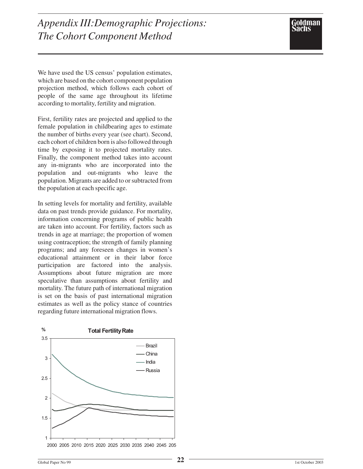We have used the US census' population estimates, which are based on the cohort component population projection method, which follows each cohort of people of the same age throughout its lifetime according to mortality, fertility and migration.

First, fertility rates are projected and applied to the female population in childbearing ages to estimate the number of births every year (see chart). Second, each cohort of children born is also followed through time by exposing it to projected mortality rates. Finally, the component method takes into account any in-migrants who are incorporated into the population and out-migrants who leave the population. Migrants are added to or subtracted from the population at each specific age.

In setting levels for mortality and fertility, available data on past trends provide guidance. For mortality, information concerning programs of public health are taken into account. For fertility, factors such as trends in age at marriage; the proportion of women using contraception; the strength of family planning programs; and any foreseen changes in women's educational attainment or in their labor force participation are factored into the analysis. Assumptions about future migration are more speculative than assumptions about fertility and mortality. The future path of international migration is set on the basis of past international migration estimates as well as the policy stance of countries regarding future international migration flows.

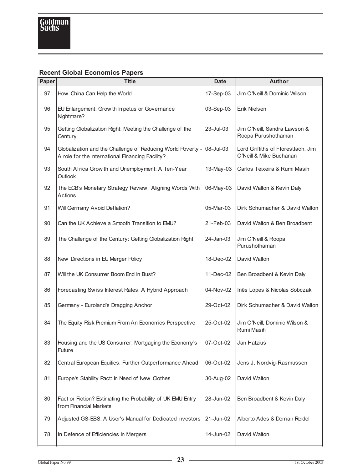# **Recent Global Economics Papers**

| Paper | <b>Title</b>                                                                                                    | <b>Date</b> | <b>Author</b>                                                 |
|-------|-----------------------------------------------------------------------------------------------------------------|-------------|---------------------------------------------------------------|
| 97    | How China Can Help the World                                                                                    | 17-Sep-03   | Jim O'Neill & Dominic Wilson                                  |
| 96    | EU Enlargement: Grow th Impetus or Governance<br>Nightmare?                                                     | 03-Sep-03   | Erik Nielsen                                                  |
| 95    | Getting Globalization Right: Meeting the Challenge of the<br>Century                                            | 23-Jul-03   | Jim O'Neill, Sandra Lawson &<br>Roopa Purushothaman           |
| 94    | Globalization and the Challenge of Reducing World Poverty -<br>A role for the International Financing Facility? | 08-Jul-03   | Lord Griffiths of Fforestfach, Jim<br>O'Neill & Mike Buchanan |
| 93    | South Africa Grow th and Unemployment: A Ten-Year<br>Outlook                                                    | 13-May-03   | Carlos Teixeira & Rumi Masih                                  |
| 92    | The ECB's Monetary Strategy Review: Aligning Words With<br>Actions                                              | 06-May-03   | David Walton & Kevin Daly                                     |
| 91    | Will Germany Avoid Deflation?                                                                                   | 05-Mar-03   | Dirk Schumacher & David Walton                                |
| 90    | Can the UK Achieve a Smooth Transition to EMU?                                                                  | 21-Feb-03   | David Walton & Ben Broadbent                                  |
| 89    | The Challenge of the Century: Getting Globalization Right                                                       | 24-Jan-03   | Jim O'Neill & Roopa<br>Purushothaman                          |
| 88    | New Directions in EU Merger Policy                                                                              | 18-Dec-02   | David Walton                                                  |
| 87    | Will the UK Consumer Boom End in Bust?                                                                          | 11-Dec-02   | Ben Broadbent & Kevin Daly                                    |
| 86    | Forecasting Sw iss Interest Rates: A Hybrid Approach                                                            | 04-Nov-02   | Inês Lopes & Nicolas Sobczak                                  |
| 85    | Germany - Euroland's Dragging Anchor                                                                            | 29-Oct-02   | Dirk Schumacher & David Walton                                |
| 84    | The Equity Risk Premium From An Economics Perspective                                                           | 25-Oct-02   | Jim O'Neill, Dominic Wilson &<br>Rumi Masih                   |
| 83    | Housing and the US Consumer: Mortgaging the Economy's<br><b>Future</b>                                          | 07-Oct-02   | Jan Hatzius                                                   |
| 82    | Central European Equities: Further Outperformance Ahead                                                         | 06-Oct-02   | Jens J. Nordvig-Rasmussen                                     |
| 81    | Europe's Stability Pact: In Need of New Clothes                                                                 | 30-Aug-02   | David Walton                                                  |
| 80    | Fact or Fiction? Estimating the Probability of UK EMU Entry<br>from Financial Markets                           | 28-Jun-02   | Ben Broadbent & Kevin Daly                                    |
| 79    | Adjusted GS-ESS: A User's Manual for Dedicated Investors                                                        | 21-Jun-02   | Alberto Ades & Demian Reidel                                  |
| 78    | In Defence of Efficiencies in Mergers                                                                           | 14-Jun-02   | David Walton                                                  |